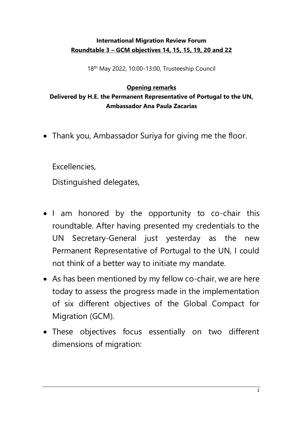## **International Migration Review Forum Roundtable 3 – GCM objectives 14, 15, 15, 19, 20 and 22**

18 th May 2022, 10:00-13:00, Trusteeship Council

## **Opening remarks**

**Delivered by H.E. the Permanent Representative of Portugal to the UN, Ambassador Ana Paula Zacarias**

• Thank you, Ambassador Suriya for giving me the floor.

Excellencies,

Distinguished delegates,

- I am honored by the opportunity to co-chair this roundtable. After having presented my credentials to the UN Secretary-General just yesterday as the new Permanent Representative of Portugal to the UN, I could not think of a better way to initiate my mandate.
- As has been mentioned by my fellow co-chair, we are here today to assess the progress made in the implementation of six different objectives of the Global Compact for Migration (GCM).
- These objectives focus essentially on two different dimensions of migration: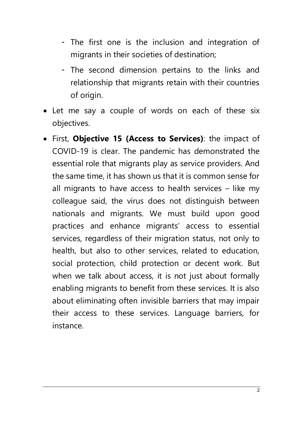- The first one is the inclusion and integration of migrants in their societies of destination;
- The second dimension pertains to the links and relationship that migrants retain with their countries of origin.
- Let me say a couple of words on each of these six objectives.
- First, **Objective 15 (Access to Services)**: the impact of COVID-19 is clear. The pandemic has demonstrated the essential role that migrants play as service providers. And the same time, it has shown us that it is common sense for all migrants to have access to health services – like my colleague said, the virus does not distinguish between nationals and migrants. We must build upon good practices and enhance migrants' access to essential services, regardless of their migration status, not only to health, but also to other services, related to education, social protection, child protection or decent work. But when we talk about access, it is not just about formally enabling migrants to benefit from these services. It is also about eliminating often invisible barriers that may impair their access to these services. Language barriers, for instance.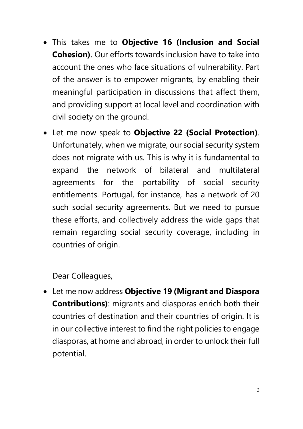- This takes me to **Objective 16 (Inclusion and Social Cohesion)**. Our efforts towards inclusion have to take into account the ones who face situations of vulnerability. Part of the answer is to empower migrants, by enabling their meaningful participation in discussions that affect them, and providing support at local level and coordination with civil society on the ground.
- Let me now speak to **Objective 22 (Social Protection)**. Unfortunately, when we migrate, our social security system does not migrate with us. This is why it is fundamental to expand the network of bilateral and multilateral agreements for the portability of social security entitlements. Portugal, for instance, has a network of 20 such social security agreements. But we need to pursue these efforts, and collectively address the wide gaps that remain regarding social security coverage, including in countries of origin.

Dear Colleagues,

• Let me now address **Objective 19 (Migrant and Diaspora Contributions)**: migrants and diasporas enrich both their countries of destination and their countries of origin. It is in our collective interest to find the right policies to engage diasporas, at home and abroad, in order to unlock their full potential.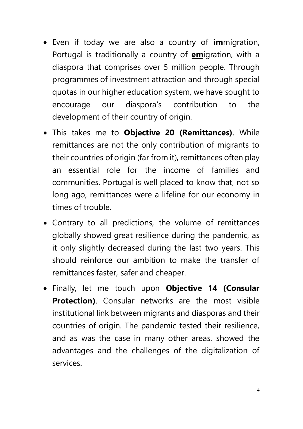- Even if today we are also a country of **im**migration, Portugal is traditionally a country of **em**igration, with a diaspora that comprises over 5 million people. Through programmes of investment attraction and through special quotas in our higher education system, we have sought to encourage our diaspora's contribution to the development of their country of origin.
- This takes me to **Objective 20 (Remittances)**. While remittances are not the only contribution of migrants to their countries of origin (far from it), remittances often play an essential role for the income of families and communities. Portugal is well placed to know that, not so long ago, remittances were a lifeline for our economy in times of trouble.
- Contrary to all predictions, the volume of remittances globally showed great resilience during the pandemic, as it only slightly decreased during the last two years. This should reinforce our ambition to make the transfer of remittances faster, safer and cheaper.
- Finally, let me touch upon **Objective 14 (Consular Protection)**. Consular networks are the most visible institutional link between migrants and diasporas and their countries of origin. The pandemic tested their resilience, and as was the case in many other areas, showed the advantages and the challenges of the digitalization of services.